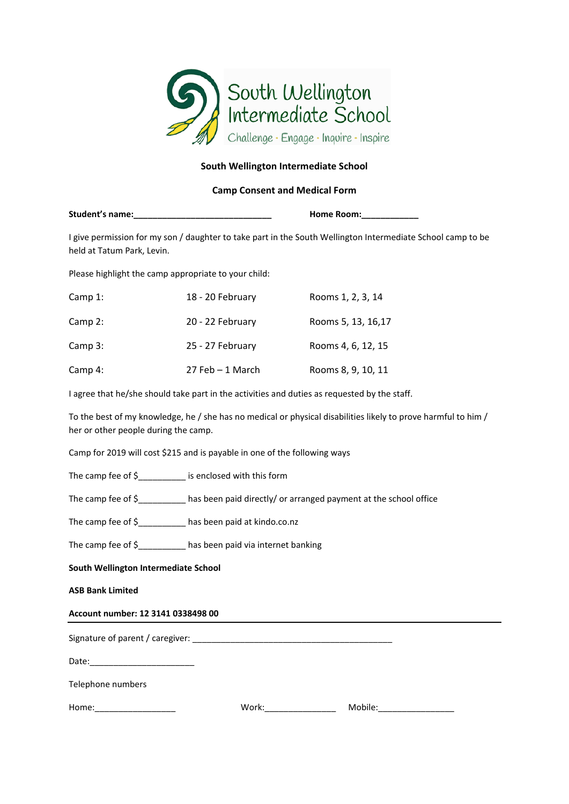

## **South Wellington Intermediate School**

## **Camp Consent and Medical Form**

| Student's name: | <b>Home Room:</b> |
|-----------------|-------------------|
|-----------------|-------------------|

I give permission for my son / daughter to take part in the South Wellington Intermediate School camp to be held at Tatum Park, Levin.

Please highlight the camp appropriate to your child:

| Camp 1:   | 18 - 20 February | Rooms 1, 2, 3, 14  |
|-----------|------------------|--------------------|
| Camp $2:$ | 20 - 22 February | Rooms 5, 13, 16,17 |
| Camp 3:   | 25 - 27 February | Rooms 4, 6, 12, 15 |
| Camp 4:   | 27 Feb - 1 March | Rooms 8, 9, 10, 11 |

I agree that he/she should take part in the activities and duties as requested by the staff.

To the best of my knowledge, he / she has no medical or physical disabilities likely to prove harmful to him / her or other people during the camp.

Camp for 2019 will cost \$215 and is payable in one of the following ways

The camp fee of \$  $\blacksquare$  is enclosed with this form

The camp fee of \$\_\_\_\_\_\_\_\_\_\_ has been paid directly/ or arranged payment at the school office

The camp fee of \$ has been paid at kindo.co.nz

The camp fee of \$\_\_\_\_\_\_\_\_\_\_ has been paid via internet banking

**South Wellington Intermediate School** 

# **ASB Bank Limited**

### **Account number: 12 3141 0338498 00**

| Signature of parent / caregiver: |  |  |
|----------------------------------|--|--|
|----------------------------------|--|--|

 $Date:$ 

Telephone numbers

| Home: |  |  |
|-------|--|--|
|       |  |  |

| ___ | Home: | w | ıv |
|-----|-------|---|----|
|-----|-------|---|----|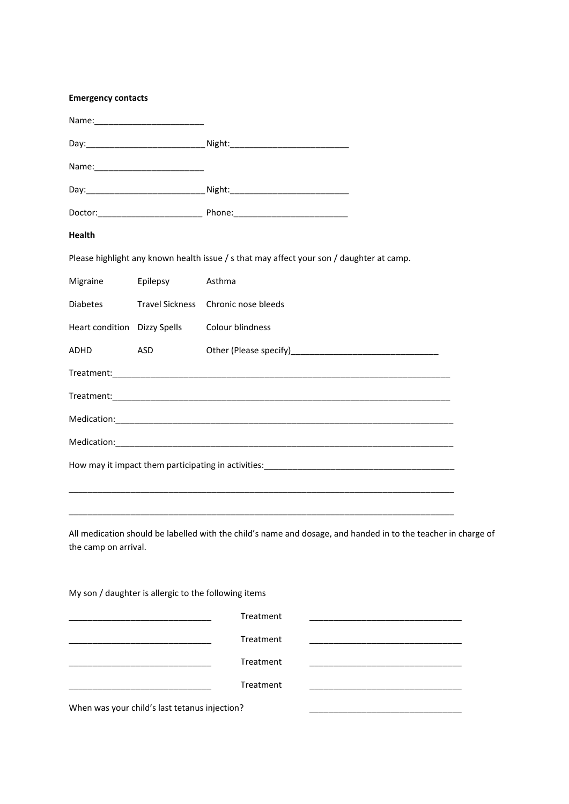| <b>Health</b>                |                                                                            |                                                                                                               |  |
|------------------------------|----------------------------------------------------------------------------|---------------------------------------------------------------------------------------------------------------|--|
|                              |                                                                            | Please highlight any known health issue / s that may affect your son / daughter at camp.                      |  |
| Migraine                     | Epilepsy                                                                   | Asthma                                                                                                        |  |
| Diabetes                     |                                                                            | Travel Sickness Chronic nose bleeds                                                                           |  |
| Heart condition Dizzy Spells |                                                                            | Colour blindness                                                                                              |  |
| ADHD                         | <b>ASD</b>                                                                 |                                                                                                               |  |
|                              |                                                                            |                                                                                                               |  |
|                              |                                                                            |                                                                                                               |  |
|                              |                                                                            |                                                                                                               |  |
|                              |                                                                            |                                                                                                               |  |
|                              |                                                                            |                                                                                                               |  |
|                              |                                                                            |                                                                                                               |  |
|                              |                                                                            |                                                                                                               |  |
| the camp on arrival.         |                                                                            | All medication should be labelled with the child's name and dosage, and handed in to the teacher in charge of |  |
|                              | My son / daughter is allergic to the following items                       |                                                                                                               |  |
|                              | the control of the control of the control of the control of the control of | Treatment<br>the control of the control of the control of the control of the control of the control of        |  |
|                              |                                                                            | Treatment<br>the control of the control of the control of the control of the control of the control of        |  |
|                              |                                                                            | Treatment<br>the control of the control of the control of the control of the control of the control of        |  |
|                              |                                                                            | Treatment                                                                                                     |  |
|                              | When was your child's last tetanus injection?                              |                                                                                                               |  |

**Emergency contacts**